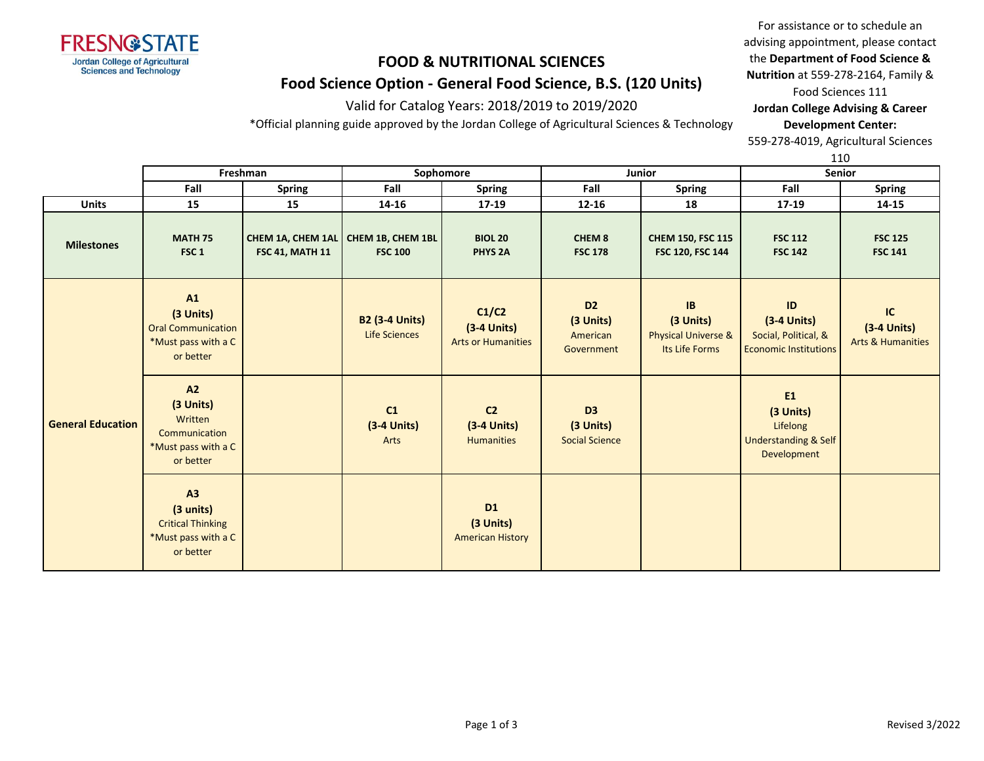

Valid for Catalog Years: 2018/2019 to 2019/2020

\*Official planning guide approved by the Jordan College of Agricultural Sciences & Technology

For assistance or to schedule an advising appointment, please contact the **Department of Food Science & Nutrition** at 559-278-2164, Family & Food Sciences 111

**Jordan College Advising & Career Development Center:**

559-278-4019, Agricultural Sciences

110

|                          | Freshman                                                                         |                        | Sophomore                                               |                                                      |                                                       | Junior                                                              | <b>Senior</b>                                                                        |                                                     |  |
|--------------------------|----------------------------------------------------------------------------------|------------------------|---------------------------------------------------------|------------------------------------------------------|-------------------------------------------------------|---------------------------------------------------------------------|--------------------------------------------------------------------------------------|-----------------------------------------------------|--|
|                          | Fall                                                                             | <b>Spring</b>          | Fall                                                    | <b>Spring</b>                                        | Fall                                                  | <b>Spring</b>                                                       | Fall                                                                                 | <b>Spring</b>                                       |  |
| <b>Units</b>             | 15                                                                               | 15                     | 14-16                                                   | 17-19                                                | $12 - 16$                                             | 18                                                                  | 17-19                                                                                | 14-15                                               |  |
| <b>Milestones</b>        | <b>MATH 75</b><br>FSC <sub>1</sub>                                               | <b>FSC 41, MATH 11</b> | CHEM 1A, CHEM 1AL   CHEM 1B, CHEM 1BL<br><b>FSC 100</b> | <b>BIOL 20</b><br><b>PHYS 2A</b>                     | CHEM <sub>8</sub><br><b>FSC 178</b>                   | <b>CHEM 150, FSC 115</b><br>FSC 120, FSC 144                        | <b>FSC 112</b><br><b>FSC 142</b>                                                     | <b>FSC 125</b><br><b>FSC 141</b>                    |  |
|                          | A1<br>(3 Units)<br><b>Oral Communication</b><br>*Must pass with a C<br>or better |                        | <b>B2 (3-4 Units)</b><br><b>Life Sciences</b>           | C1/C2<br>$(3-4$ Units)<br><b>Arts or Humanities</b>  | D <sub>2</sub><br>(3 Units)<br>American<br>Government | IB<br>(3 Units)<br><b>Physical Universe &amp;</b><br>Its Life Forms | $\sf ID$<br>$(3-4$ Units)<br>Social, Political, &<br><b>Economic Institutions</b>    | IC<br>$(3-4$ Units)<br><b>Arts &amp; Humanities</b> |  |
| <b>General Education</b> | A2<br>(3 Units)<br>Written<br>Communication<br>*Must pass with a C<br>or better  |                        | C1<br>$(3-4$ Units)<br>Arts                             | C <sub>2</sub><br>$(3-4$ Units)<br><b>Humanities</b> | D <sub>3</sub><br>(3 Units)<br><b>Social Science</b>  |                                                                     | <b>E1</b><br>(3 Units)<br>Lifelong<br><b>Understanding &amp; Self</b><br>Development |                                                     |  |
|                          | A3<br>(3 units)<br><b>Critical Thinking</b><br>*Must pass with a C<br>or better  |                        |                                                         | <b>D1</b><br>(3 Units)<br><b>American History</b>    |                                                       |                                                                     |                                                                                      |                                                     |  |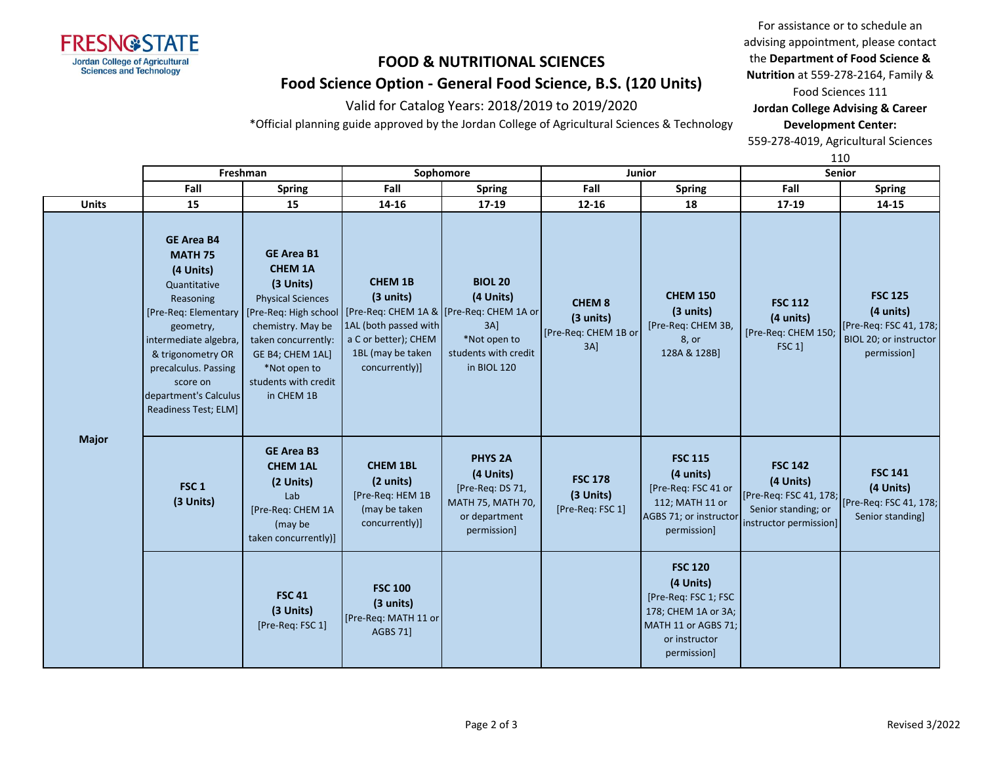

Valid for Catalog Years: 2018/2019 to 2019/2020

\*Official planning guide approved by the Jordan College of Agricultural Sciences & Technology

For assistance or to schedule an advising appointment, please contact the **Department of Food Science & Nutrition** at 559-278-2164, Family & Food Sciences 111

**Jordan College Advising & Career Development Center:**

559-278-4019, Agricultural Sciences

110

|              |                                                                                                                                                                                                                                                                                | Freshman                                                                                                                                                                                           |                                                                                                                     | Sophomore                                                                                                                              |                                                              | <b>Junior</b>                                                                                                                     |                                                                                                                               | ᆠᅶ<br>Senior                                                                                             |
|--------------|--------------------------------------------------------------------------------------------------------------------------------------------------------------------------------------------------------------------------------------------------------------------------------|----------------------------------------------------------------------------------------------------------------------------------------------------------------------------------------------------|---------------------------------------------------------------------------------------------------------------------|----------------------------------------------------------------------------------------------------------------------------------------|--------------------------------------------------------------|-----------------------------------------------------------------------------------------------------------------------------------|-------------------------------------------------------------------------------------------------------------------------------|----------------------------------------------------------------------------------------------------------|
|              | Fall                                                                                                                                                                                                                                                                           | <b>Spring</b>                                                                                                                                                                                      | Fall                                                                                                                | <b>Spring</b>                                                                                                                          | Fall                                                         | <b>Spring</b>                                                                                                                     | Fall                                                                                                                          | <b>Spring</b>                                                                                            |
| <b>Units</b> | 15                                                                                                                                                                                                                                                                             | 15                                                                                                                                                                                                 | 14-16                                                                                                               | 17-19                                                                                                                                  | $12 - 16$                                                    | 18                                                                                                                                | 17-19                                                                                                                         | $14 - 15$                                                                                                |
| <b>Major</b> | <b>GE Area B4</b><br><b>MATH 75</b><br>(4 Units)<br>Quantitative<br>Reasoning<br>[Pre-Req: Elementary   [Pre-Req: High school]<br>geometry,<br>intermediate algebra,<br>& trigonometry OR<br>precalculus. Passing<br>score on<br>department's Calculus<br>Readiness Test; ELM] | <b>GE Area B1</b><br><b>CHEM 1A</b><br>(3 Units)<br><b>Physical Sciences</b><br>chemistry. May be<br>taken concurrently:<br>GE B4; CHEM 1AL]<br>*Not open to<br>students with credit<br>in CHEM 1B | <b>CHEM 1B</b><br>(3 units)<br>1AL (both passed with<br>a C or better); CHEM<br>1BL (may be taken<br>concurrently)] | <b>BIOL 20</b><br>(4 Units)<br>[Pre-Req: CHEM 1A &   [Pre-Req: CHEM 1A or<br>3A<br>*Not open to<br>students with credit<br>in BIOL 120 | <b>CHEM 8</b><br>(3 units)<br>[Pre-Req: CHEM 1B or<br>$3A$ ] | <b>CHEM 150</b><br>(3 units)<br>[Pre-Req: CHEM 3B,<br>8, or<br>128A & 128B]                                                       | <b>FSC 112</b><br>(4 units)<br>[Pre-Req: CHEM 150;<br>FSC 1                                                                   | <b>FSC 125</b><br>$(4 \text{ units})$<br>[Pre-Req: FSC 41, 178;<br>BIOL 20; or instructor<br>permission] |
|              | FSC <sub>1</sub><br>(3 Units)                                                                                                                                                                                                                                                  | <b>GE Area B3</b><br><b>CHEM 1AL</b><br>(2 Units)<br>Lab<br>[Pre-Req: CHEM 1A<br>(may be<br>taken concurrently)]                                                                                   | <b>CHEM 1BL</b><br>(2 units)<br>[Pre-Req: HEM 1B<br>(may be taken<br>concurrently)]                                 | <b>PHYS 2A</b><br>(4 Units)<br>[Pre-Req: DS 71,<br><b>MATH 75, MATH 70,</b><br>or department<br>permission]                            | <b>FSC 178</b><br>(3 Units)<br>[Pre-Req: FSC 1]              | <b>FSC 115</b><br>(4 units)<br>[Pre-Req: FSC 41 or<br>112; MATH 11 or<br>AGBS 71; or instructor<br>permission]                    | <b>FSC 142</b><br>(4 Units)<br>[Pre-Req: FSC 41, 178; [Pre-Req: FSC 41, 178;<br>Senior standing; or<br>instructor permission] | <b>FSC 141</b><br>(4 Units)<br>Senior standing]                                                          |
|              |                                                                                                                                                                                                                                                                                | <b>FSC 41</b><br>(3 Units)<br>[Pre-Req: FSC 1]                                                                                                                                                     | <b>FSC 100</b><br>(3 units)<br>[Pre-Req: MATH 11 or<br><b>AGBS 711</b>                                              |                                                                                                                                        |                                                              | <b>FSC 120</b><br>(4 Units)<br>[Pre-Req: FSC 1; FSC<br>178; CHEM 1A or 3A;<br>MATH 11 or AGBS 71;<br>or instructor<br>permission] |                                                                                                                               |                                                                                                          |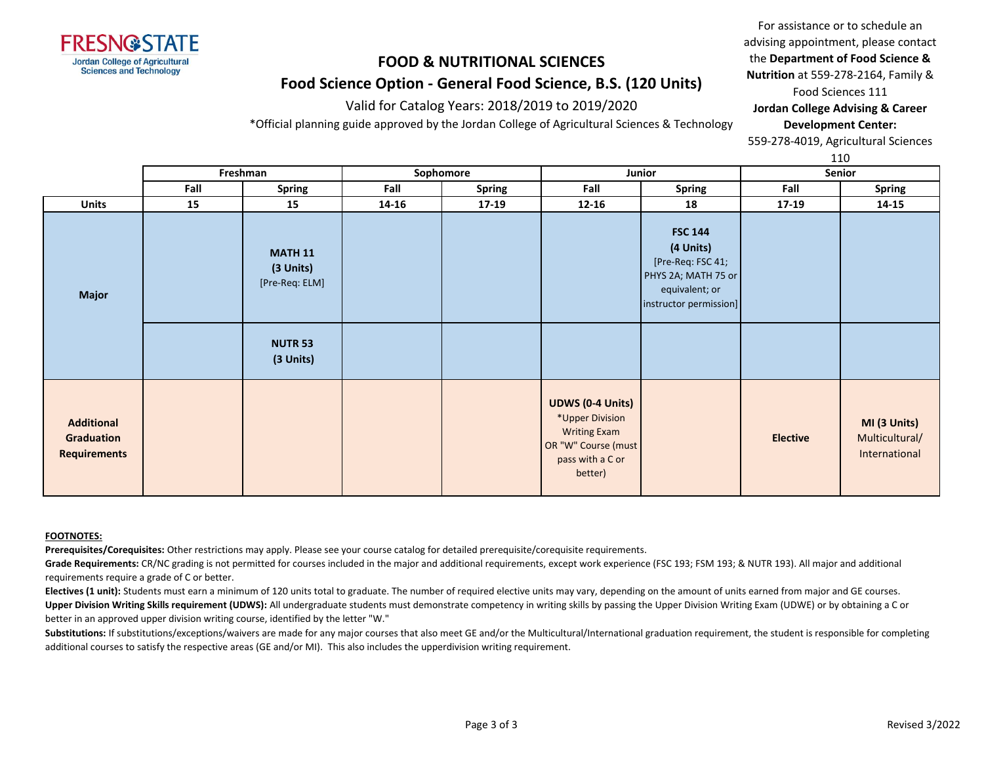

Valid for Catalog Years: 2018/2019 to 2019/2020

\*Official planning guide approved by the Jordan College of Agricultural Sciences & Technology

For assistance or to schedule an advising appointment, please contact the **Department of Food Science & Nutrition** at 559-278-2164, Family & Food Sciences 111

**Jordan College Advising & Career Development Center:**

559-278-4019, Agricultural Sciences

110

|                                                        |      | Freshman                                      |       | Sophomore     | Junior                                                                                                                  |                                                                                                                     |                 | ᆠᆂᇦ<br>Senior                                   |
|--------------------------------------------------------|------|-----------------------------------------------|-------|---------------|-------------------------------------------------------------------------------------------------------------------------|---------------------------------------------------------------------------------------------------------------------|-----------------|-------------------------------------------------|
|                                                        | Fall | Spring                                        | Fall  | <b>Spring</b> | Fall                                                                                                                    | <b>Spring</b>                                                                                                       | Fall            | Spring                                          |
| <b>Units</b>                                           | 15   | 15                                            | 14-16 | $17-19$       | $12 - 16$                                                                                                               | 18                                                                                                                  | 17-19           | $14 - 15$                                       |
| <b>Major</b>                                           |      | <b>MATH 11</b><br>(3 Units)<br>[Pre-Req: ELM] |       |               |                                                                                                                         | <b>FSC 144</b><br>(4 Units)<br>[Pre-Req: FSC 41;<br>PHYS 2A; MATH 75 or<br>equivalent; or<br>instructor permission] |                 |                                                 |
|                                                        |      | <b>NUTR 53</b><br>(3 Units)                   |       |               |                                                                                                                         |                                                                                                                     |                 |                                                 |
| <b>Additional</b><br>Graduation<br><b>Requirements</b> |      |                                               |       |               | <b>UDWS (0-4 Units)</b><br>*Upper Division<br><b>Writing Exam</b><br>OR "W" Course (must<br>pass with a C or<br>better) |                                                                                                                     | <b>Elective</b> | MI (3 Units)<br>Multicultural/<br>International |

#### **FOOTNOTES:**

**Prerequisites/Corequisites:** Other restrictions may apply. Please see your course catalog for detailed prerequisite/corequisite requirements.

Grade Requirements: CR/NC grading is not permitted for courses included in the major and additional requirements, except work experience (FSC 193; FSM 193; & NUTR 193). All major and additional requirements require a grade of C or better.

Electives (1 unit): Students must earn a minimum of 120 units total to graduate. The number of required elective units may vary, depending on the amount of units earned from major and GE courses. Upper Division Writing Skills requirement (UDWS): All undergraduate students must demonstrate competency in writing skills by passing the Upper Division Writing Exam (UDWE) or by obtaining a C or better in an approved upper division writing course, identified by the letter "W."

Substitutions: If substitutions/exceptions/waivers are made for any major courses that also meet GE and/or the Multicultural/International graduation requirement, the student is responsible for completing additional courses to satisfy the respective areas (GE and/or MI). This also includes the upperdivision writing requirement.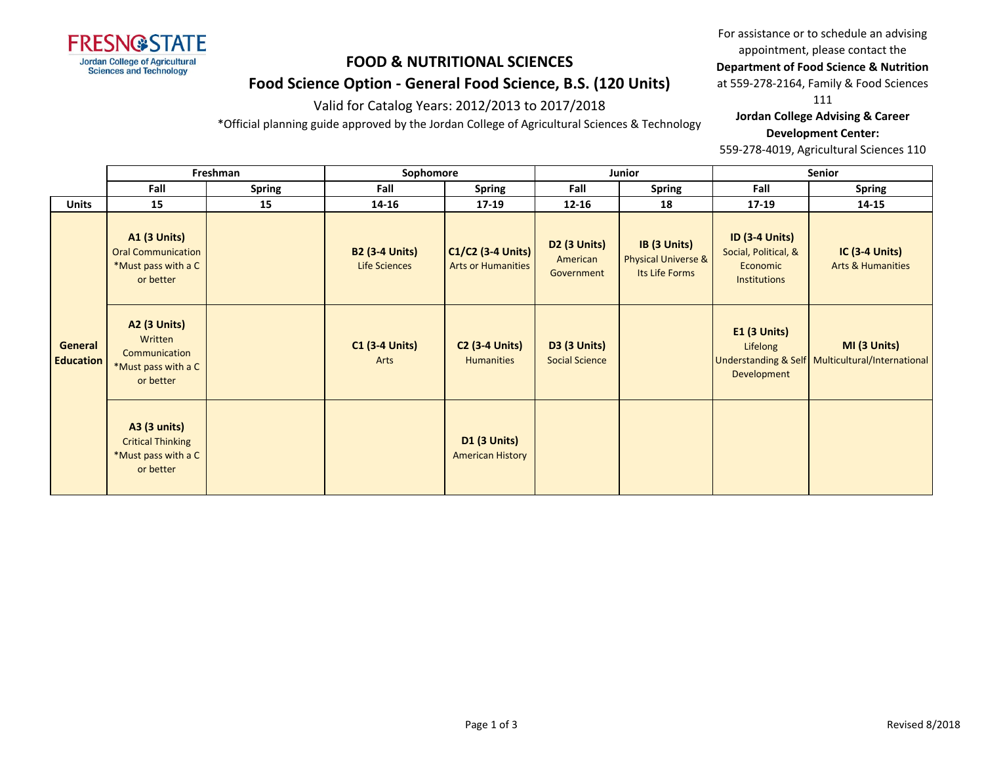

#### Valid for Catalog Years: 2012/2013 to 2017/2018

\*Official planning guide approved by the Jordan College of Agricultural Sciences & Technology

For assistance or to schedule an advising appointment, please contact the

### **Department of Food Science & Nutrition**

at 559-278-2164, Family & Food Sciences

111

**Jordan College Advising & Career Development Center:**

559-278-4019, Agricultural Sciences 110

|                             |                                                                                      | Freshman      |                                               | Sophomore                                      |                                                    | Junior                                                |                                                                                  | Senior                                                           |  |
|-----------------------------|--------------------------------------------------------------------------------------|---------------|-----------------------------------------------|------------------------------------------------|----------------------------------------------------|-------------------------------------------------------|----------------------------------------------------------------------------------|------------------------------------------------------------------|--|
|                             | Fall                                                                                 | <b>Spring</b> | Fall                                          | <b>Spring</b>                                  | Fall                                               | <b>Spring</b>                                         | Fall                                                                             | <b>Spring</b>                                                    |  |
| <b>Units</b>                | 15                                                                                   | 15            | 14-16                                         | $17 - 19$                                      | $12 - 16$                                          | 18                                                    | $17-19$                                                                          | 14-15                                                            |  |
|                             | <b>A1 (3 Units)</b><br><b>Oral Communication</b><br>*Must pass with a C<br>or better |               | <b>B2 (3-4 Units)</b><br><b>Life Sciences</b> | C1/C2 (3-4 Units)<br><b>Arts or Humanities</b> | D <sub>2</sub> (3 Units)<br>American<br>Government | IB (3 Units)<br>Physical Universe &<br>Its Life Forms | <b>ID (3-4 Units)</b><br>Social, Political, &<br>Economic<br><b>Institutions</b> | <b>IC (3-4 Units)</b><br><b>Arts &amp; Humanities</b>            |  |
| General<br><b>Education</b> | <b>A2 (3 Units)</b><br>Written<br>Communication<br>*Must pass with a C<br>or better  |               | <b>C1 (3-4 Units)</b><br>Arts                 | <b>C2 (3-4 Units)</b><br><b>Humanities</b>     | <b>D3 (3 Units)</b><br><b>Social Science</b>       |                                                       | $E1$ (3 Units)<br>Lifelong<br>Development                                        | MI (3 Units)<br>Understanding & Self Multicultural/International |  |
|                             | <b>A3 (3 units)</b><br><b>Critical Thinking</b><br>*Must pass with a C<br>or better  |               |                                               | <b>D1 (3 Units)</b><br><b>American History</b> |                                                    |                                                       |                                                                                  |                                                                  |  |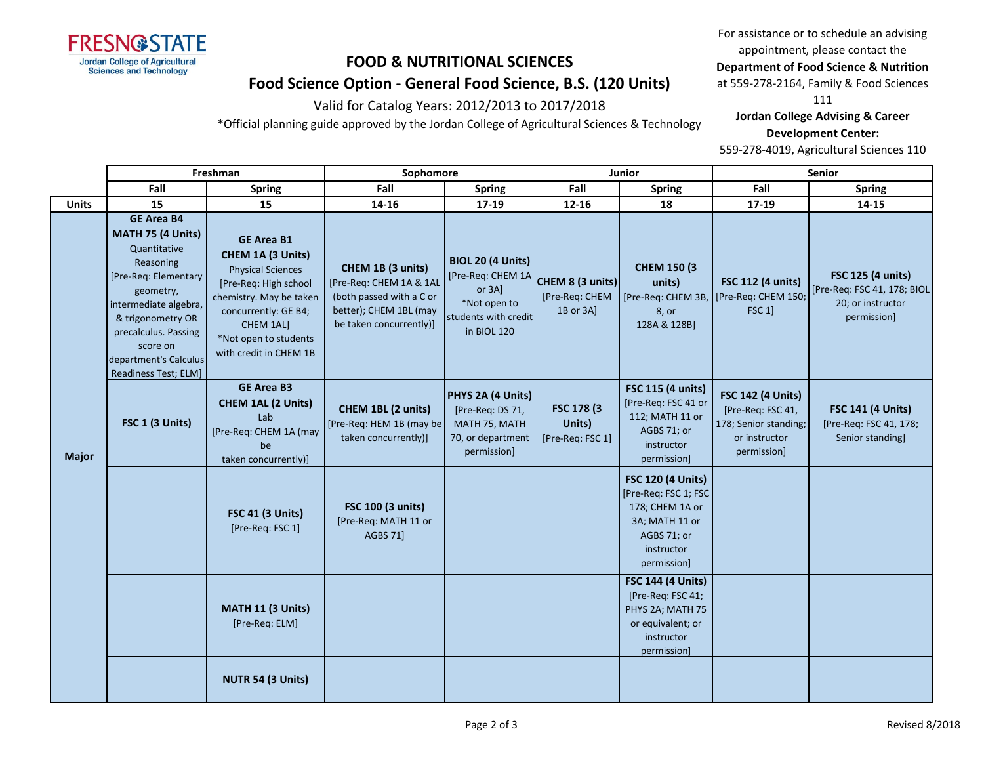

### Valid for Catalog Years: 2012/2013 to 2017/2018

\*Official planning guide approved by the Jordan College of Agricultural Sciences & Technology

For assistance or to schedule an advising appointment, please contact the

### **Department of Food Science & Nutrition**

at 559-278-2164, Family & Food Sciences

111

**Jordan College Advising & Career Development Center:**

559-278-4019, Agricultural Sciences 110

|              | Freshman                                                                                                                                                                                                                                    |                                                                                                                                                                                                                | Sophomore                                                                                                                     |                                                                                                                   | Junior                                          |                                                                                                                                   | Senior                                                                                                 |                                                                                      |
|--------------|---------------------------------------------------------------------------------------------------------------------------------------------------------------------------------------------------------------------------------------------|----------------------------------------------------------------------------------------------------------------------------------------------------------------------------------------------------------------|-------------------------------------------------------------------------------------------------------------------------------|-------------------------------------------------------------------------------------------------------------------|-------------------------------------------------|-----------------------------------------------------------------------------------------------------------------------------------|--------------------------------------------------------------------------------------------------------|--------------------------------------------------------------------------------------|
|              | Fall                                                                                                                                                                                                                                        | <b>Spring</b>                                                                                                                                                                                                  | Fall                                                                                                                          | <b>Spring</b>                                                                                                     | Fall                                            | <b>Spring</b>                                                                                                                     | Fall                                                                                                   | <b>Spring</b>                                                                        |
| <b>Units</b> | 15                                                                                                                                                                                                                                          | 15                                                                                                                                                                                                             | 14-16                                                                                                                         | 17-19                                                                                                             | 12-16                                           | 18                                                                                                                                | 17-19                                                                                                  | 14-15                                                                                |
| <b>Major</b> | <b>GE Area B4</b><br>MATH 75 (4 Units)<br>Quantitative<br>Reasoning<br>[Pre-Req: Elementary<br>geometry,<br>intermediate algebra,<br>& trigonometry OR<br>precalculus. Passing<br>score on<br>department's Calculus<br>Readiness Test; ELM] | <b>GE Area B1</b><br>CHEM 1A (3 Units)<br><b>Physical Sciences</b><br>[Pre-Req: High school<br>chemistry. May be taken<br>concurrently: GE B4;<br>CHEM 1AL]<br>*Not open to students<br>with credit in CHEM 1B | CHEM 1B (3 units)<br>[Pre-Req: CHEM 1A & 1AL<br>(both passed with a C or<br>better); CHEM 1BL (may<br>be taken concurrently)] | <b>BIOL 20 (4 Units)</b><br>[Pre-Req: CHEM 1A<br>or $3A$ ]<br>*Not open to<br>students with credit<br>in BIOL 120 | CHEM 8 (3 units)<br>[Pre-Req: CHEM<br>1B or 3A] | <b>CHEM 150 (3)</b><br>units)<br>[Pre-Req: CHEM 3B,<br>8, or<br>128A & 128B]                                                      | <b>FSC 112 (4 units)</b><br>[Pre-Req: CHEM 150;<br>FSC 1                                               | FSC 125 (4 units)<br>[Pre-Req: FSC 41, 178; BIOL<br>20; or instructor<br>permission] |
|              | FSC 1 (3 Units)                                                                                                                                                                                                                             | <b>GE Area B3</b><br><b>CHEM 1AL (2 Units)</b><br>Lab<br>[Pre-Req: CHEM 1A (may<br>be<br>taken concurrently)]                                                                                                  | CHEM 1BL (2 units)<br>[Pre-Req: HEM 1B (may be<br>taken concurrently)]                                                        | PHYS 2A (4 Units)<br>[Pre-Req: DS 71,<br>MATH 75, MATH<br>70, or department<br>permission]                        | FSC 178 (3<br>Units)<br>[Pre-Req: FSC 1]        | FSC 115 (4 units)<br>[Pre-Req: FSC 41 or<br>112; MATH 11 or<br>AGBS 71; or<br>instructor<br>permission]                           | <b>FSC 142 (4 Units)</b><br>[Pre-Req: FSC 41,<br>178; Senior standing;<br>or instructor<br>permission] | <b>FSC 141 (4 Units)</b><br>[Pre-Req: FSC 41, 178;<br>Senior standing]               |
|              |                                                                                                                                                                                                                                             | <b>FSC 41 (3 Units)</b><br>[Pre-Req: FSC 1]                                                                                                                                                                    | <b>FSC 100 (3 units)</b><br>[Pre-Req: MATH 11 or<br><b>AGBS 71]</b>                                                           |                                                                                                                   |                                                 | <b>FSC 120 (4 Units)</b><br>[Pre-Req: FSC 1; FSC<br>178; CHEM 1A or<br>3A; MATH 11 or<br>AGBS 71; or<br>instructor<br>permission] |                                                                                                        |                                                                                      |
|              |                                                                                                                                                                                                                                             | MATH 11 (3 Units)<br>[Pre-Req: ELM]                                                                                                                                                                            |                                                                                                                               |                                                                                                                   |                                                 | <b>FSC 144 (4 Units)</b><br>[Pre-Req: FSC 41;<br>PHYS 2A; MATH 75<br>or equivalent; or<br>instructor<br>permission]               |                                                                                                        |                                                                                      |
|              |                                                                                                                                                                                                                                             | NUTR 54 (3 Units)                                                                                                                                                                                              |                                                                                                                               |                                                                                                                   |                                                 |                                                                                                                                   |                                                                                                        |                                                                                      |